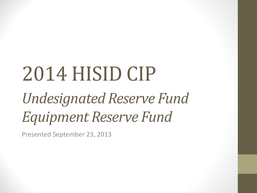# 2014 HISID CIP

# *Undesignated Reserve Fund Equipment Reserve Fund*

Presented September 23, 2013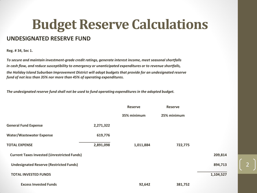### **Budget Reserve Calculations**

#### **UNDESIGNATED RESERVE FUND**

**Reg. # 34, Sec 1.** 

*To secure and maintain investment-grade credit ratings, generate interest income, meet seasonal shortfalls in cash flow, and reduce susceptibility to emergency or unanticipated expenditures or to revenue shortfalls, the Holiday Island Suburban Improvement District will adopt budgets that provide for an undesignated reserve fund of not less than 35% nor more than 45% of operating expenditures.*

*The undesignated reserve fund shall not be used to fund operating expenditures in the adopted budget.*

|                                                    |           | <b>Reserve</b> | <b>Reserve</b> |           |
|----------------------------------------------------|-----------|----------------|----------------|-----------|
|                                                    |           | 35% minimum    | 25% minimum    |           |
| <b>General Fund Expense</b>                        | 2,271,322 |                |                |           |
| <b>Water/Wastewater Expense</b>                    | 619,776   |                |                |           |
| <b>TOTAL EXPENSE</b>                               | 2,891,098 | 1,011,884      | 722,775        |           |
| <b>Current Taxes Invested (Unrestricted Funds)</b> |           |                |                | 209,814   |
| <b>Undesignated Reserve (Restricted Funds)</b>     |           |                |                | 894,713   |
| <b>TOTAL INVESTED FUNDS</b>                        |           |                |                | 1,104,527 |
| <b>Excess Invested Funds</b>                       |           | 92,642         | 381,752        |           |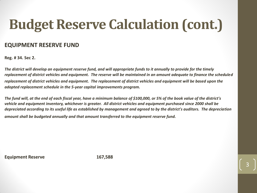## **Budget Reserve Calculation (cont.)**

#### **EQUIPMENT RESERVE FUND**

**Reg. # 34. Sec 2.** 

*The district will develop an equipment reserve fund, and will appropriate funds to it annually to provide for the timely replacement of district vehicles and equipment. The reserve will be maintained in an amount adequate to finance the scheduled replacement of district vehicles and equipment. The replacement of district vehicles and equipment will be based upon the adopted replacement schedule in the 5-year capital improvements program.*

*The fund will, at the end of each fiscal year, have a minimum balance of \$100,000, or 5% of the book value of the district's vehicle and equipment inventory, whichever is greater. All district vehicles and equipment purchased since 2000 shall be depreciated according to its useful life as established by management and agreed to by the district's auditors. The depreciation amount shall be budgeted annually and that amount transferred to the equipment reserve fund.*

3

**Equipment Reserve 167,588**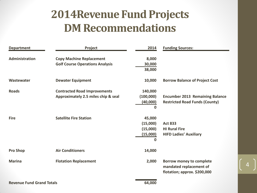#### **2014Revenue Fund Projects DM Recommendations**

| <b>Department</b> | Project                                                                    | 2014                                                   | <b>Funding Sources:</b>                                                             |
|-------------------|----------------------------------------------------------------------------|--------------------------------------------------------|-------------------------------------------------------------------------------------|
| Administration    | <b>Copy Machine Replacement</b><br><b>Golf Course Operations Analysis</b>  | 8,000<br>30,000<br>38,000                              |                                                                                     |
| Wastewater        | <b>Dewater Equipment</b>                                                   | 10,000                                                 | <b>Borrow Balance of Project Cost</b>                                               |
| <b>Roads</b>      | <b>Contracted Road Improvements</b><br>Approximately 2.5 miles chip & seal | 140,000<br>(100,000)<br>(40,000)<br>$\Omega$           | <b>Encumber 2013 Remaining Balance</b><br><b>Restricted Road Funds (County)</b>     |
| <b>Fire</b>       | <b>Satellite Fire Station</b>                                              | 45,000<br>(15,000)<br>(15,000)<br>(15,000)<br>$\Omega$ | <b>Act 833</b><br><b>HI Rural Fire</b><br><b>HIFD Ladies' Auxiliary</b>             |
| <b>Pro Shop</b>   | <b>Air Conditioners</b>                                                    | 14,000                                                 |                                                                                     |
| <b>Marina</b>     | <b>Flotation Replacement</b>                                               | 2,000                                                  | Borrow money to complete<br>mandated replacement of<br>flotation; approx. \$200,000 |

4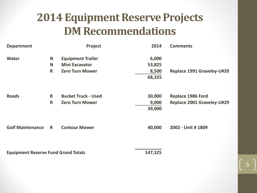#### **2014 Equipment Reserve Projects DM Recommendations**

| <b>Department</b>                          |              | Project                    | 2014    | <b>Comments</b>            |
|--------------------------------------------|--------------|----------------------------|---------|----------------------------|
| <b>Water</b>                               | N            | <b>Equipment Trailer</b>   | 6,000   |                            |
|                                            | N            | <b>Mini Excavator</b>      | 53,825  |                            |
|                                            | $\mathsf{R}$ | <b>Zero Turn Mower</b>     | 8,500   | Replace 1991 Graveley-U#20 |
|                                            |              |                            | 68,325  |                            |
|                                            |              |                            |         |                            |
| <b>Roads</b>                               | $\mathsf{R}$ | <b>Bucket Truck - Used</b> | 30,000  | <b>Replace 1986 Ford</b>   |
|                                            | $\mathsf{R}$ | <b>Zero Turn Mower</b>     | 9,000   | Replace 2001 Graveley-U#29 |
|                                            |              |                            | 39,000  |                            |
| <b>Golf Maintenance</b>                    | R.           | <b>Contour Mower</b>       | 40,000  | 2002 - Unit # 1809         |
| <b>Equipment Reserve Fund Grand Totals</b> |              |                            | 147,325 |                            |

5